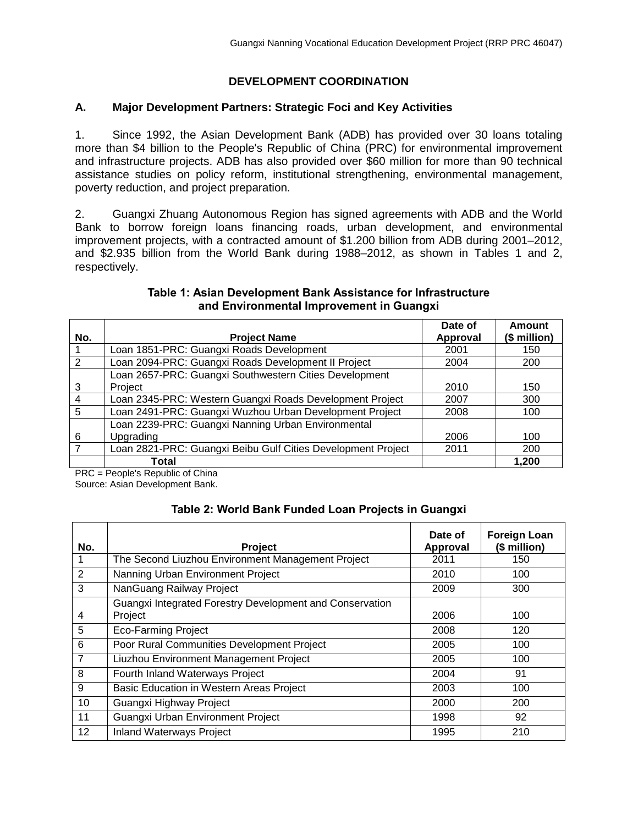# **DEVELOPMENT COORDINATION**

### **A. Major Development Partners: Strategic Foci and Key Activities**

1. Since 1992, the Asian Development Bank (ADB) has provided over 30 loans totaling more than \$4 billion to the People's Republic of China (PRC) for environmental improvement and infrastructure projects. ADB has also provided over \$60 million for more than 90 technical assistance studies on policy reform, institutional strengthening, environmental management, poverty reduction, and project preparation.

2. Guangxi Zhuang Autonomous Region has signed agreements with ADB and the World Bank to borrow foreign loans financing roads, urban development, and environmental improvement projects, with a contracted amount of \$1.200 billion from ADB during 2001–2012, and \$2.935 billion from the World Bank during 1988–2012, as shown in Tables 1 and 2, respectively.

|                |                                                              | Date of         | <b>Amount</b> |
|----------------|--------------------------------------------------------------|-----------------|---------------|
| No.            | <b>Project Name</b>                                          | <b>Approval</b> | (\$ million)  |
|                | Loan 1851-PRC: Guangxi Roads Development                     | 2001            | 150           |
| 2              | Loan 2094-PRC: Guangxi Roads Development II Project          | 2004            | 200           |
|                | Loan 2657-PRC: Guangxi Southwestern Cities Development       |                 |               |
| 3              | Project                                                      | 2010            | 150           |
| $\overline{4}$ | Loan 2345-PRC: Western Guangxi Roads Development Project     | 2007            | 300           |
| -5             | Loan 2491-PRC: Guangxi Wuzhou Urban Development Project      | 2008            | 100           |
|                | Loan 2239-PRC: Guangxi Nanning Urban Environmental           |                 |               |
| 6              | Upgrading                                                    | 2006            | 100           |
| $\overline{7}$ | Loan 2821-PRC: Guangxi Beibu Gulf Cities Development Project | 2011            | 200           |
|                | Total                                                        |                 | 1,200         |

#### **Table 1: Asian Development Bank Assistance for Infrastructure and Environmental Improvement in Guangxi**

PRC = People's Republic of China Source: Asian Development Bank.

# **Table 2: World Bank Funded Loan Projects in Guangxi**

| No. | <b>Project</b>                                                      | Date of<br>Approval | <b>Foreign Loan</b><br>(\$ million) |
|-----|---------------------------------------------------------------------|---------------------|-------------------------------------|
|     | The Second Liuzhou Environment Management Project                   | 2011                | 150                                 |
| 2   | Nanning Urban Environment Project                                   | 2010                | 100                                 |
| 3   | NanGuang Railway Project                                            | 2009                | 300                                 |
| 4   | Guangxi Integrated Forestry Development and Conservation<br>Project | 2006                | 100                                 |
| 5   | <b>Eco-Farming Project</b>                                          | 2008                | 120                                 |
| 6   | Poor Rural Communities Development Project                          | 2005                | 100                                 |
| 7   | Liuzhou Environment Management Project                              | 2005                | 100                                 |
| 8   | Fourth Inland Waterways Project                                     | 2004                | 91                                  |
| 9   | Basic Education in Western Areas Project                            | 2003                | 100                                 |
| 10  | Guangxi Highway Project                                             | 2000                | 200                                 |
| 11  | Guangxi Urban Environment Project                                   | 1998                | 92                                  |
| 12  | <b>Inland Waterways Project</b>                                     | 1995                | 210                                 |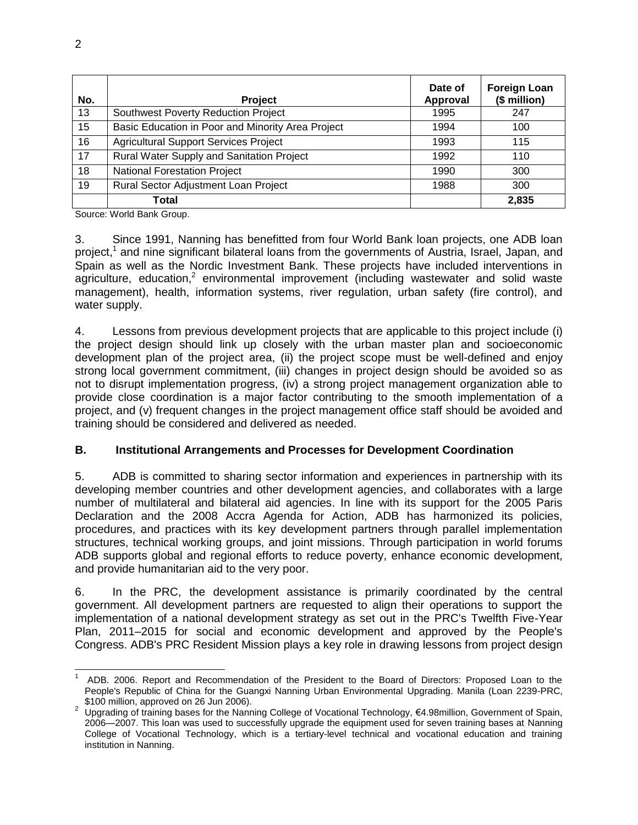| No. | <b>Project</b>                                    | Date of<br>Approval | <b>Foreign Loan</b><br>(\$ million) |
|-----|---------------------------------------------------|---------------------|-------------------------------------|
| 13  | Southwest Poverty Reduction Project               | 1995                | 247                                 |
| 15  | Basic Education in Poor and Minority Area Project | 1994                | 100                                 |
| 16  | <b>Agricultural Support Services Project</b>      | 1993                | 115                                 |
| 17  | Rural Water Supply and Sanitation Project         | 1992                | 110                                 |
| 18  | <b>National Forestation Project</b>               | 1990                | 300                                 |
| 19  | Rural Sector Adjustment Loan Project              | 1988                | 300                                 |
|     | Total                                             |                     | 2,835                               |

Source: World Bank Group.

3. Since 1991, Nanning has benefitted from four World Bank loan projects, one ADB loan project,<sup>1</sup> and nine significant bilateral loans from the governments of Austria, Israel, Japan, and Spain as well as the Nordic Investment Bank. These projects have included interventions in agriculture, education,<sup>2</sup> environmental improvement (including wastewater and solid waste management), health, information systems, river regulation, urban safety (fire control), and water supply.

4. Lessons from previous development projects that are applicable to this project include (i) the project design should link up closely with the urban master plan and socioeconomic development plan of the project area, (ii) the project scope must be well-defined and enjoy strong local government commitment, (iii) changes in project design should be avoided so as not to disrupt implementation progress, (iv) a strong project management organization able to provide close coordination is a major factor contributing to the smooth implementation of a project, and (v) frequent changes in the project management office staff should be avoided and training should be considered and delivered as needed.

#### **B. Institutional Arrangements and Processes for Development Coordination**

5. ADB is committed to sharing sector information and experiences in partnership with its developing member countries and other development agencies, and collaborates with a large number of multilateral and bilateral aid agencies. In line with its support for the 2005 Paris Declaration and the 2008 Accra Agenda for Action, ADB has harmonized its policies, procedures, and practices with its key development partners through parallel implementation structures, technical working groups, and joint missions. Through participation in world forums ADB supports global and regional efforts to reduce poverty, enhance economic development, and provide humanitarian aid to the very poor.

6. In the PRC, the development assistance is primarily coordinated by the central government. All development partners are requested to align their operations to support the implementation of a national development strategy as set out in the PRC's Twelfth Five-Year Plan, 2011–2015 for social and economic development and approved by the People's Congress. ADB's PRC Resident Mission plays a key role in drawing lessons from project design

 $\overline{a}$ 1 ADB. 2006. Report and Recommendation of the President to the Board of Directors: Proposed Loan to the People's Republic of China for the Guangxi Nanning Urban Environmental Upgrading. Manila (Loan 2239-PRC, \$100 million, approved on 26 Jun 2006).

<sup>2</sup> Upgrading of training bases for the Nanning College of Vocational Technology, €4.98million, Government of Spain, 2006—2007. This loan was used to successfully upgrade the equipment used for seven training bases at Nanning College of Vocational Technology, which is a tertiary-level technical and vocational education and training institution in Nanning.